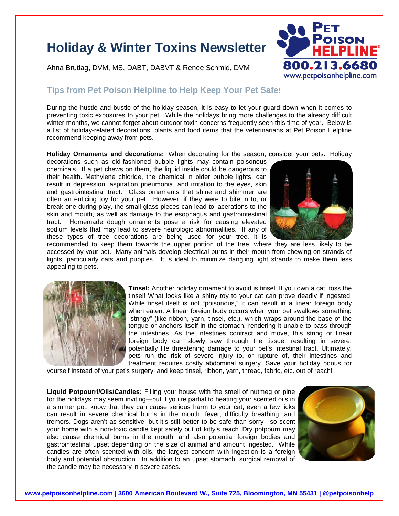## **Holiday & Winter Toxins Newsletter**

Ahna Brutlag, DVM, MS, DABT, DABVT & Renee Schmid, DVM



## **Tips from Pet Poison Helpline to Help Keep Your Pet Safe!**

During the hustle and bustle of the holiday season, it is easy to let your guard down when it comes to preventing toxic exposures to your pet. While the holidays bring more challenges to the already difficult winter months, we cannot forget about outdoor toxin concerns frequently seen this time of year. Below is a list of holiday-related decorations, plants and food items that the veterinarians at Pet Poison Helpline recommend keeping away from pets.

**Holiday Ornaments and decorations:** When decorating for the season, consider your pets. Holiday

decorations such as old-fashioned bubble lights may contain poisonous chemicals. If a pet chews on them, the liquid inside could be dangerous to their health. Methylene chloride, the chemical in older bubble lights, can result in depression, aspiration pneumonia, and irritation to the eyes, skin and gastrointestinal tract. Glass ornaments that shine and shimmer are often an enticing toy for your pet. However, if they were to bite in to, or break one during play, the small glass pieces can lead to lacerations to the skin and mouth, as well as damage to the esophagus and gastrointestinal tract. Homemade dough ornaments pose a risk for causing elevated sodium levels that may lead to severe neurologic abnormalities. If any of these types of tree decorations are being used for your tree, it is



recommended to keep them towards the upper portion of the tree, where they are less likely to be accessed by your pet. Many animals develop electrical burns in their mouth from chewing on strands of lights, particularly cats and puppies. It is ideal to minimize dangling light strands to make them less appealing to pets.



**Tinsel:** Another holiday ornament to avoid is tinsel. If you own a cat, toss the tinsel! What looks like a shiny toy to your cat can prove deadly if ingested. While tinsel itself is not "poisonous," it can result in a linear foreign body when eaten. A linear foreign body occurs when your pet swallows something "stringy" (like ribbon, yarn, tinsel, etc.), which wraps around the base of the tongue or anchors itself in the stomach, rendering it unable to pass through the intestines. As the intestines contract and move, this string or linear foreign body can slowly saw through the tissue, resulting in severe, potentially life threatening damage to your pet's intestinal tract. Ultimately, pets run the risk of severe injury to, or rupture of, their intestines and treatment requires costly abdominal surgery. Save your holiday bonus for

yourself instead of your pet's surgery, and keep tinsel, ribbon, yarn, thread, fabric, etc. out of reach!

**Liquid Potpourri/Oils/Candles:** Filling your house with the smell of nutmeg or pine for the holidays may seem inviting—but if you're partial to heating your scented oils in a simmer pot, know that they can cause serious harm to your cat; even a few licks can result in severe chemical burns in the mouth, fever, difficulty breathing, and tremors. Dogs aren't as sensitive, but it's still better to be safe than sorry—so scent your home with a non-toxic candle kept safely out of kitty's reach. Dry potpourri may also cause chemical burns in the mouth, and also potential foreign bodies and gastrointestinal upset depending on the size of animal and amount ingested. While candles are often scented with oils, the largest concern with ingestion is a foreign body and potential obstruction. In addition to an upset stomach, surgical removal of the candle may be necessary in severe cases.